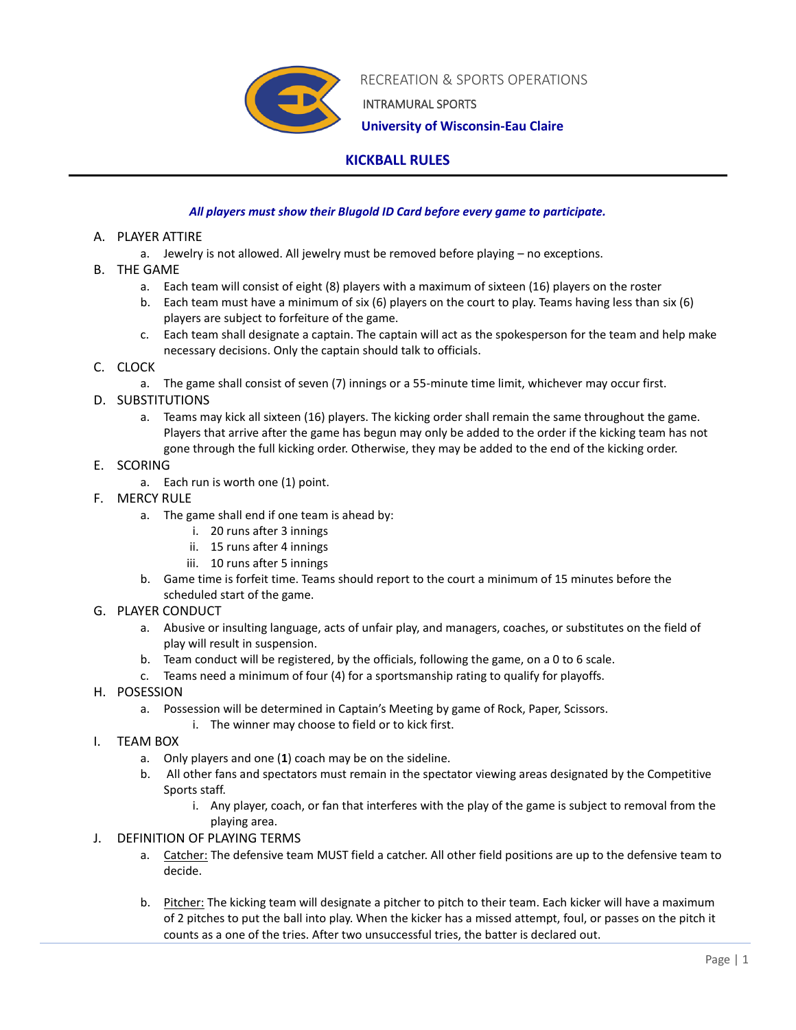

RECREATION & SPORTS OPERATIONS

INTRAMURAL SPORTS

 **University of Wisconsin-Eau Claire**

# **KICKBALL RULES**

### *All players must show their Blugold ID Card before every game to participate.*

#### A. PLAYER ATTIRE

- a. Jewelry is not allowed. All jewelry must be removed before playing no exceptions.
- B. THE GAME
	- a. Each team will consist of eight (8) players with a maximum of sixteen (16) players on the roster
	- b. Each team must have a minimum of six (6) players on the court to play. Teams having less than six (6) players are subject to forfeiture of the game.
	- c. Each team shall designate a captain. The captain will act as the spokesperson for the team and help make necessary decisions. Only the captain should talk to officials.

## C. CLOCK

- a. The game shall consist of seven (7) innings or a 55-minute time limit, whichever may occur first.
- D. SUBSTITUTIONS
	- a. Teams may kick all sixteen (16) players. The kicking order shall remain the same throughout the game. Players that arrive after the game has begun may only be added to the order if the kicking team has not gone through the full kicking order. Otherwise, they may be added to the end of the kicking order.
- E. SCORING
	- a. Each run is worth one (1) point.
- F. MERCY RULE
	- a. The game shall end if one team is ahead by:
		- i. 20 runs after 3 innings
		- ii. 15 runs after 4 innings
		- iii. 10 runs after 5 innings
	- b. Game time is forfeit time. Teams should report to the court a minimum of 15 minutes before the scheduled start of the game.
- G. PLAYER CONDUCT
	- a. Abusive or insulting language, acts of unfair play, and managers, coaches, or substitutes on the field of play will result in suspension.
	- b. Team conduct will be registered, by the officials, following the game, on a 0 to 6 scale.
	- c. Teams need a minimum of four (4) for a sportsmanship rating to qualify for playoffs.
- H. POSESSION
	- a. Possession will be determined in Captain's Meeting by game of Rock, Paper, Scissors.
		- i. The winner may choose to field or to kick first.
- I. TEAM BOX
	- a. Only players and one (**1**) coach may be on the sideline.
	- b. All other fans and spectators must remain in the spectator viewing areas designated by the Competitive Sports staff.
		- i. Any player, coach, or fan that interferes with the play of the game is subject to removal from the playing area.
- J. DEFINITION OF PLAYING TERMS
	- a. Catcher: The defensive team MUST field a catcher. All other field positions are up to the defensive team to decide.
	- b. Pitcher: The kicking team will designate a pitcher to pitch to their team. Each kicker will have a maximum of 2 pitches to put the ball into play. When the kicker has a missed attempt, foul, or passes on the pitch it counts as a one of the tries. After two unsuccessful tries, the batter is declared out.